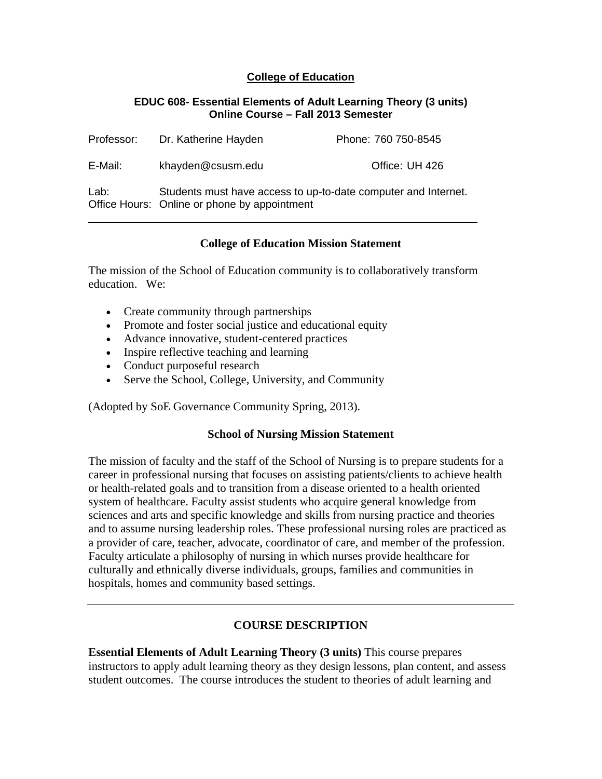## **College of Education**

#### **EDUC 608- Essential Elements of Adult Learning Theory (3 units) Online Course – Fall 2013 Semester**

| Professor: | Dr. Katherine Hayden                                                                                           | Phone: 760 750-8545 |  |
|------------|----------------------------------------------------------------------------------------------------------------|---------------------|--|
| E-Mail:    | khayden@csusm.edu                                                                                              | Office: UH 426      |  |
| Lab:       | Students must have access to up-to-date computer and Internet.<br>Office Hours: Online or phone by appointment |                     |  |

# **College of Education Mission Statement**

The mission of the School of Education community is to collaboratively transform education. We:

- Create community through partnerships
- Promote and foster social justice and educational equity
- Advance innovative, student-centered practices
- Inspire reflective teaching and learning
- Conduct purposeful research
- Serve the School, College, University, and Community

(Adopted by SoE Governance Community Spring, 2013).

### **School of Nursing Mission Statement**

The mission of faculty and the staff of the School of Nursing is to prepare students for a career in professional nursing that focuses on assisting patients/clients to achieve health or health-related goals and to transition from a disease oriented to a health oriented system of healthcare. Faculty assist students who acquire general knowledge from sciences and arts and specific knowledge and skills from nursing practice and theories and to assume nursing leadership roles. These professional nursing roles are practiced as a provider of care, teacher, advocate, coordinator of care, and member of the profession. Faculty articulate a philosophy of nursing in which nurses provide healthcare for culturally and ethnically diverse individuals, groups, families and communities in hospitals, homes and community based settings.

# **COURSE DESCRIPTION**

**Essential Elements of Adult Learning Theory (3 units)** This course prepares instructors to apply adult learning theory as they design lessons, plan content, and assess student outcomes. The course introduces the student to theories of adult learning and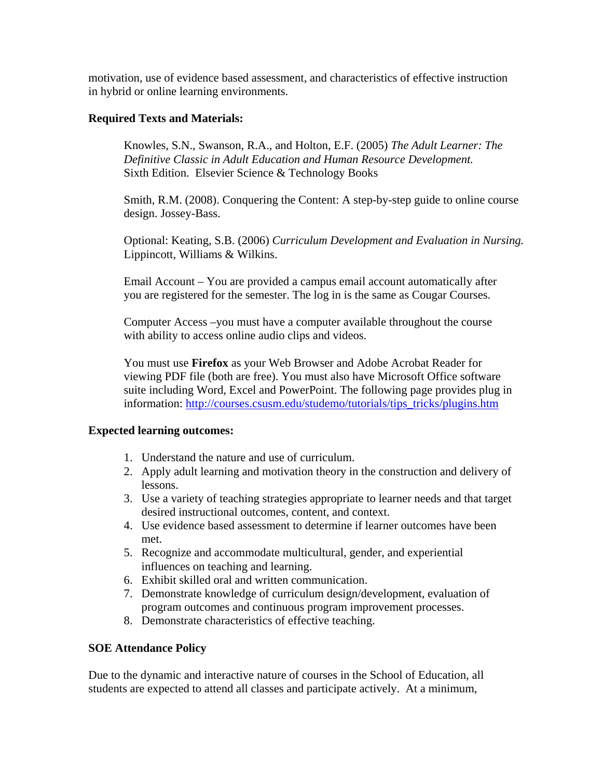motivation, use of evidence based assessment, and characteristics of effective instruction in hybrid or online learning environments.

## **Required Texts and Materials:**

 *Definitive Classic in Adult Education and Human Resource Development.* Knowles, S.N., Swanson, R.A., and Holton, E.F. (2005) *The Adult Learner: The*  Sixth Edition. Elsevier Science & Technology Books

Smith, R.M. (2008). Conquering the Content: A step-by-step guide to online course design. Jossey-Bass.

Optional: Keating, S.B. (2006) *Curriculum Development and Evaluation in Nursing.*  Lippincott, Williams & Wilkins.

Email Account – You are provided a campus email account automatically after you are registered for the semester. The log in is the same as Cougar Courses.

Computer Access –you must have a computer available throughout the course with ability to access online audio clips and videos.

You must use **Firefox** as your Web Browser and Adobe Acrobat Reader for viewing PDF file (both are free). You must also have Microsoft Office software suite including Word, Excel and PowerPoint. The following page provides plug in information: http://courses.csusm.edu/studemo/tutorials/tips\_tricks/plugins.htm

### **Expected learning outcomes:**

- 1. Understand the nature and use of curriculum.
- 2. Apply adult learning and motivation theory in the construction and delivery of lessons.
- 3. Use a variety of teaching strategies appropriate to learner needs and that target desired instructional outcomes, content, and context.
- 4. Use evidence based assessment to determine if learner outcomes have been met.
- 5. Recognize and accommodate multicultural, gender, and experiential influences on teaching and learning.
- 6. Exhibit skilled oral and written communication.
- 7. Demonstrate knowledge of curriculum design/development, evaluation of program outcomes and continuous program improvement processes.
- 8. Demonstrate characteristics of effective teaching.

### **SOE Attendance Policy**

Due to the dynamic and interactive nature of courses in the School of Education, all students are expected to attend all classes and participate actively. At a minimum,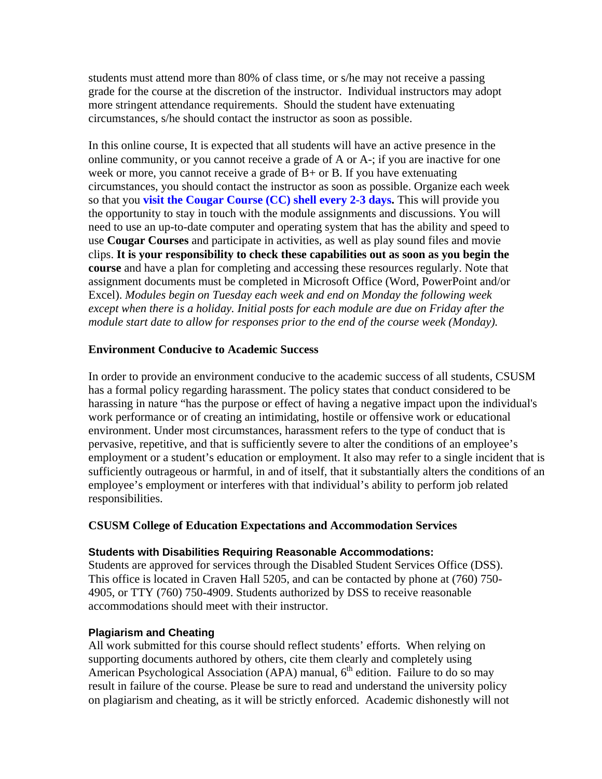students must attend more than 80% of class time, or s/he may not receive a passing grade for the course at the discretion of the instructor. Individual instructors may adopt more stringent attendance requirements. Should the student have extenuating circumstances, s/he should contact the instructor as soon as possible.

In this online course, It is expected that all students will have an active presence in the online community, or you cannot receive a grade of A or A-; if you are inactive for one week or more, you cannot receive a grade of  $B+$  or B. If you have extenuating circumstances, you should contact the instructor as soon as possible. Organize each week so that you **visit the Cougar Course (CC) shell every 2-3 days.** This will provide you the opportunity to stay in touch with the module assignments and discussions. You will need to use an up-to-date computer and operating system that has the ability and speed to use **Cougar Courses** and participate in activities, as well as play sound files and movie clips. **It is your responsibility to check these capabilities out as soon as you begin the course** and have a plan for completing and accessing these resources regularly. Note that assignment documents must be completed in Microsoft Office (Word, PowerPoint and/or Excel). *Modules begin on Tuesday each week and end on Monday the following week except when there is a holiday. Initial posts for each module are due on Friday after the module start date to allow for responses prior to the end of the course week (Monday).* 

## **Environment Conducive to Academic Success**

In order to provide an environment conducive to the academic success of all students, CSUSM has a formal policy regarding harassment. The policy states that conduct considered to be harassing in nature "has the purpose or effect of having a negative impact upon the individual's work performance or of creating an intimidating, hostile or offensive work or educational environment. Under most circumstances, harassment refers to the type of conduct that is pervasive, repetitive, and that is sufficiently severe to alter the conditions of an employee's employment or a student's education or employment. It also may refer to a single incident that is sufficiently outrageous or harmful, in and of itself, that it substantially alters the conditions of an employee's employment or interferes with that individual's ability to perform job related responsibilities.

### **CSUSM College of Education Expectations and Accommodation Services**

### **Students with Disabilities Requiring Reasonable Accommodations:**

Students are approved for services through the Disabled Student Services Office (DSS). This office is located in Craven Hall 5205, and can be contacted by phone at (760) 750- 4905, or TTY (760) 750-4909. Students authorized by DSS to receive reasonable accommodations should meet with their instructor.

### **Plagiarism and Cheating**

All work submitted for this course should reflect students' efforts. When relying on supporting documents authored by others, cite them clearly and completely using American Psychological Association (APA) manual,  $6<sup>th</sup>$  edition. Failure to do so may result in failure of the course. Please be sure to read and understand the university policy on plagiarism and cheating, as it will be strictly enforced. Academic dishonestly will not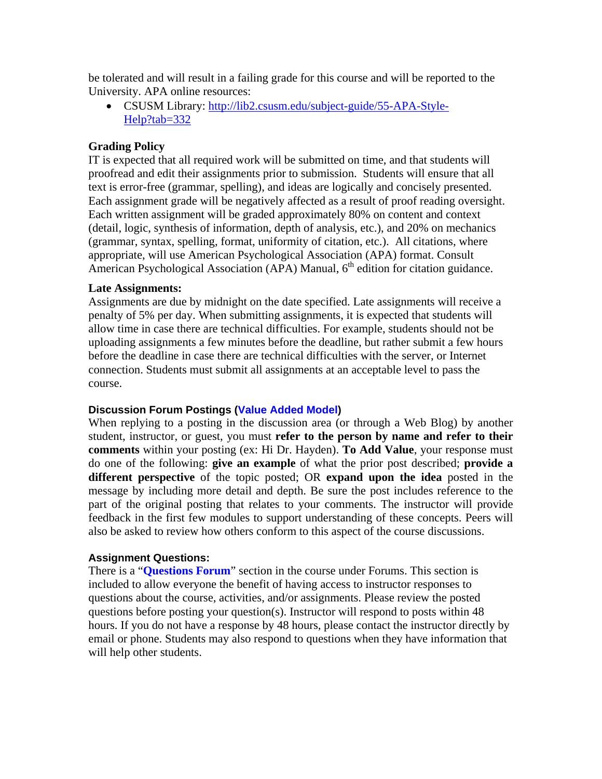be tolerated and will result in a failing grade for this course and will be reported to the University. APA online resources:

• CSUSM Library: http://lib2.csusm.edu/subject-guide/55-APA-Style-Help?tab=332

## **Grading Policy**

IT is expected that all required work will be submitted on time, and that students will proofread and edit their assignments prior to submission. Students will ensure that all text is error-free (grammar, spelling), and ideas are logically and concisely presented. Each assignment grade will be negatively affected as a result of proof reading oversight. Each written assignment will be graded approximately 80% on content and context (detail, logic, synthesis of information, depth of analysis, etc.), and 20% on mechanics (grammar, syntax, spelling, format, uniformity of citation, etc.). All citations, where appropriate, will use American Psychological Association (APA) format. Consult American Psychological Association (APA) Manual,  $6<sup>th</sup>$  edition for citation guidance.

### **Late Assignments:**

Assignments are due by midnight on the date specified. Late assignments will receive a penalty of 5% per day. When submitting assignments, it is expected that students will allow time in case there are technical difficulties. For example, students should not be uploading assignments a few minutes before the deadline, but rather submit a few hours before the deadline in case there are technical difficulties with the server, or Internet connection. Students must submit all assignments at an acceptable level to pass the course.

### **Discussion Forum Postings (Value Added Model)**

When replying to a posting in the discussion area (or through a Web Blog) by another student, instructor, or guest, you must **refer to the person by name and refer to their comments** within your posting (ex: Hi Dr. Hayden). **To Add Value**, your response must do one of the following: **give an example** of what the prior post described; **provide a different perspective** of the topic posted; OR **expand upon the idea** posted in the message by including more detail and depth. Be sure the post includes reference to the part of the original posting that relates to your comments. The instructor will provide feedback in the first few modules to support understanding of these concepts. Peers will also be asked to review how others conform to this aspect of the course discussions.

### **Assignment Questions:**

There is a "**Questions Forum**" section in the course under Forums. This section is included to allow everyone the benefit of having access to instructor responses to questions about the course, activities, and/or assignments. Please review the posted questions before posting your question(s). Instructor will respond to posts within 48 hours. If you do not have a response by 48 hours, please contact the instructor directly by email or phone. Students may also respond to questions when they have information that will help other students.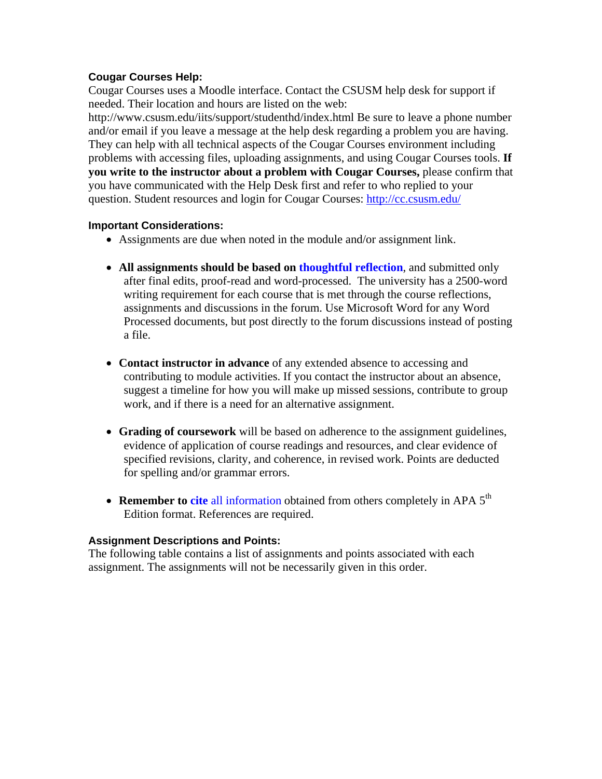### **Cougar Courses Help:**

Cougar Courses uses a Moodle interface. Contact the CSUSM help desk for support if needed. Their location and hours are listed on the web:

http://www.csusm.edu/iits/support/studenthd/index.html Be sure to leave a phone number and/or email if you leave a message at the help desk regarding a problem you are having. They can help with all technical aspects of the Cougar Courses environment including problems with accessing files, uploading assignments, and using Cougar Courses tools. **If you write to the instructor about a problem with Cougar Courses,** please confirm that you have communicated with the Help Desk first and refer to who replied to your question. Student resources and login for Cougar Courses: http://cc.csusm.edu/

#### **Important Considerations:**

- Assignments are due when noted in the module and/or assignment link.
- **All assignments should be based on thoughtful reflection**, and submitted only after final edits, proof-read and word-processed. The university has a 2500-word writing requirement for each course that is met through the course reflections, assignments and discussions in the forum. Use Microsoft Word for any Word Processed documents, but post directly to the forum discussions instead of posting a file.
- **Contact instructor in advance** of any extended absence to accessing and contributing to module activities. If you contact the instructor about an absence, suggest a timeline for how you will make up missed sessions, contribute to group work, and if there is a need for an alternative assignment.
- **Grading of coursework** will be based on adherence to the assignment guidelines, evidence of application of course readings and resources, and clear evidence of specified revisions, clarity, and coherence, in revised work. Points are deducted for spelling and/or grammar errors.
- **Remember to cite** all information obtained from others completely in APA 5<sup>th</sup> Edition format. References are required.

### **Assignment Descriptions and Points:**

The following table contains a list of assignments and points associated with each assignment. The assignments will not be necessarily given in this order.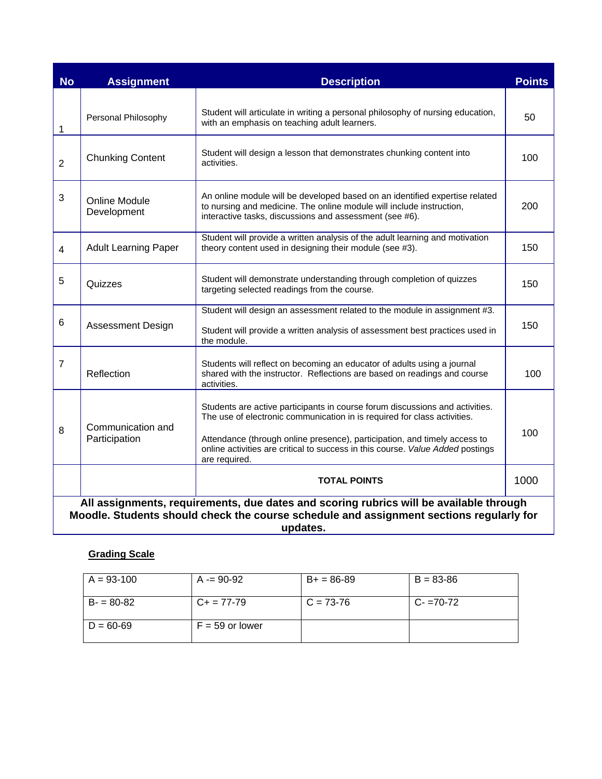| <b>No</b>      | <b>Assignment</b>                                                                                                                                                                             | <b>Description</b>                                                                                                                                                                                                                                                                                                                       | <b>Points</b> |  |  |  |
|----------------|-----------------------------------------------------------------------------------------------------------------------------------------------------------------------------------------------|------------------------------------------------------------------------------------------------------------------------------------------------------------------------------------------------------------------------------------------------------------------------------------------------------------------------------------------|---------------|--|--|--|
| 1              | Personal Philosophy                                                                                                                                                                           | Student will articulate in writing a personal philosophy of nursing education,<br>with an emphasis on teaching adult learners.                                                                                                                                                                                                           | 50            |  |  |  |
| $\overline{2}$ | <b>Chunking Content</b>                                                                                                                                                                       | Student will design a lesson that demonstrates chunking content into<br>activities.                                                                                                                                                                                                                                                      |               |  |  |  |
| 3              | <b>Online Module</b><br>Development                                                                                                                                                           | An online module will be developed based on an identified expertise related<br>to nursing and medicine. The online module will include instruction,<br>interactive tasks, discussions and assessment (see #6).                                                                                                                           |               |  |  |  |
| $\overline{4}$ | <b>Adult Learning Paper</b>                                                                                                                                                                   | Student will provide a written analysis of the adult learning and motivation<br>theory content used in designing their module (see #3).                                                                                                                                                                                                  |               |  |  |  |
| 5              | Quizzes                                                                                                                                                                                       | Student will demonstrate understanding through completion of quizzes<br>targeting selected readings from the course.                                                                                                                                                                                                                     |               |  |  |  |
| 6              | <b>Assessment Design</b>                                                                                                                                                                      | Student will design an assessment related to the module in assignment #3.<br>Student will provide a written analysis of assessment best practices used in<br>the module.                                                                                                                                                                 |               |  |  |  |
| $\overline{7}$ | Reflection                                                                                                                                                                                    | Students will reflect on becoming an educator of adults using a journal<br>shared with the instructor. Reflections are based on readings and course<br>activities.                                                                                                                                                                       | 100           |  |  |  |
| 8              | Communication and<br>Participation                                                                                                                                                            | Students are active participants in course forum discussions and activities.<br>The use of electronic communication in is required for class activities.<br>Attendance (through online presence), participation, and timely access to<br>online activities are critical to success in this course. Value Added postings<br>are required. |               |  |  |  |
|                | <b>TOTAL POINTS</b>                                                                                                                                                                           |                                                                                                                                                                                                                                                                                                                                          |               |  |  |  |
|                | All assignments, requirements, due dates and scoring rubrics will be available through<br>Moodle. Students should check the course schedule and assignment sections regularly for<br>updates. |                                                                                                                                                                                                                                                                                                                                          |               |  |  |  |

#### **Grading Scale**

| $A = 93-100$  | $A = 90-92$       | $B+ = 86-89$ | $B = 83 - 86$ |
|---------------|-------------------|--------------|---------------|
| $B = 80-82$   | $C_{+}$ = 77-79   | $C = 73-76$  | $C - 70-72$   |
| $D = 60 - 69$ | $F = 59$ or lower |              |               |